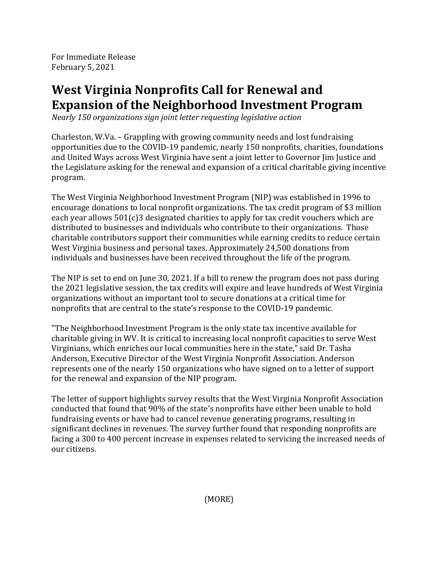For Immediate Release February 5, 2021

## **West Virginia Nonprofits Call for Renewal and Expansion of the Neighborhood Investment Program**

*Nearly 150 organizations sign joint letter requesting legislative action*

Charleston, W.Va. - Grappling with growing community needs and lost fundraising opportunities due to the COVID-19 pandemic, nearly 150 nonprofits, charities, foundations and United Ways across West Virginia have sent a joint letter to Governor Jim Justice and the Legislature asking for the renewal and expansion of a critical charitable giving incentive program.

The West Virginia Neighborhood Investment Program (NIP) was established in 1996 to encourage donations to local nonprofit organizations. The tax credit program of \$3 million each year allows  $501(c)3$  designated charities to apply for tax credit vouchers which are distributed to businesses and individuals who contribute to their organizations. Those charitable contributors support their communities while earning credits to reduce certain West Virginia business and personal taxes. Approximately 24,500 donations from individuals and businesses have been received throughout the life of the program.

The NIP is set to end on June 30, 2021. If a bill to renew the program does not pass during the 2021 legislative session, the tax credits will expire and leave hundreds of West Virginia organizations without an important tool to secure donations at a critical time for nonprofits that are central to the state's response to the COVID-19 pandemic.

"The Neighborhood Investment Program is the only state tax incentive available for charitable giving in WV. It is critical to increasing local nonprofit capacities to serve West Virginians, which enriches our local communities here in the state," said Dr. Tasha Anderson, Executive Director of the West Virginia Nonprofit Association, Anderson represents one of the nearly 150 organizations who have signed on to a letter of support for the renewal and expansion of the NIP program.

The letter of support highlights survey results that the West Virginia Nonprofit Association conducted that found that 90% of the state's nonprofits have either been unable to hold fundraising events or have had to cancel revenue generating programs, resulting in significant declines in revenues. The survey further found that responding nonprofits are facing a 300 to 400 percent increase in expenses related to servicing the increased needs of our citizens.

(MORE)